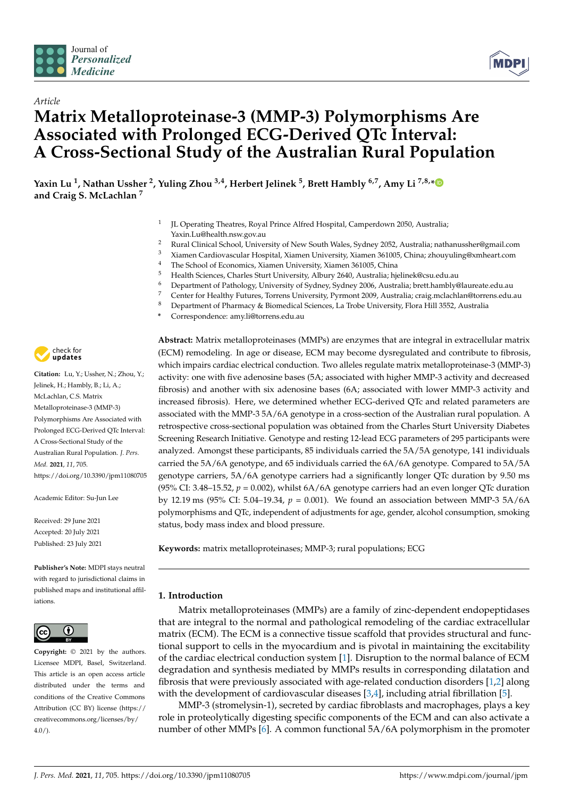



# *Article* **Matrix Metalloproteinase-3 (MMP-3) Polymorphisms Are Associated with Prolonged ECG-Derived QTc Interval: A Cross-Sectional Study of the Australian Rural Population**

**Yaxin Lu <sup>1</sup> , Nathan Ussher <sup>2</sup> , Yuling Zhou 3,4, Herbert Jelinek <sup>5</sup> , Brett Hambly 6,7, Amy Li 7,8,[\\*](https://orcid.org/0000-0001-5413-3771) and Craig S. McLachlan <sup>7</sup>**

- 1 JL Operating Theatres, Royal Prince Alfred Hospital, Camperdown 2050, Australia; Yaxin.Lu@health.nsw.gov.au
- <sup>2</sup> Rural Clinical School, University of New South Wales, Sydney 2052, Australia; nathanussher@gmail.com<br><sup>3</sup> Yieman Cardiausesular Heenital Yieman University Yieman 261005 China shown line@ymboart.com
- <sup>3</sup> Xiamen Cardiovascular Hospital, Xiamen University, Xiamen 361005, China; zhouyuling@xmheart.com
- <sup>4</sup> The School of Economics, Xiamen University, Xiamen 361005, China
- <sup>5</sup> Health Sciences, Charles Sturt University, Albury 2640, Australia; hjelinek@csu.edu.au
- <sup>6</sup> Department of Pathology, University of Sydney, Sydney 2006, Australia; brett.hambly@laureate.edu.au
- 7 Center for Healthy Futures, Torrens University, Pyrmont 2009, Australia; craig.mclachlan@torrens.edu.au<br>8 Department of Pharmagy & Biomodical Sciences, La Troba University, Flora Hill 2552, Australia
- <sup>8</sup> Department of Pharmacy & Biomedical Sciences, La Trobe University, Flora Hill 3552, Australia
- **\*** Correspondence: amy.li@torrens.edu.au



**Citation:** Lu, Y.; Ussher, N.; Zhou, Y.; Jelinek, H.; Hambly, B.; Li, A.; McLachlan, C.S. Matrix Metalloproteinase-3 (MMP-3) Polymorphisms Are Associated with Prolonged ECG-Derived QTc Interval: A Cross-Sectional Study of the Australian Rural Population. *J. Pers. Med.* **2021**, *11*, 705. <https://doi.org/10.3390/jpm11080705>

Academic Editor: Su-Jun Lee

Received: 29 June 2021 Accepted: 20 July 2021 Published: 23 July 2021

**Publisher's Note:** MDPI stays neutral with regard to jurisdictional claims in published maps and institutional affiliations.



**Copyright:** © 2021 by the authors. Licensee MDPI, Basel, Switzerland. This article is an open access article distributed under the terms and conditions of the Creative Commons Attribution (CC BY) license (https:/[/](https://creativecommons.org/licenses/by/4.0/) [creativecommons.org/licenses/by/](https://creativecommons.org/licenses/by/4.0/)  $4.0/$ ).

**Abstract:** Matrix metalloproteinases (MMPs) are enzymes that are integral in extracellular matrix (ECM) remodeling. In age or disease, ECM may become dysregulated and contribute to fibrosis, which impairs cardiac electrical conduction. Two alleles regulate matrix metalloproteinase-3 (MMP-3) activity: one with five adenosine bases (5A; associated with higher MMP-3 activity and decreased fibrosis) and another with six adenosine bases (6A; associated with lower MMP-3 activity and increased fibrosis). Here, we determined whether ECG-derived QTc and related parameters are associated with the MMP-3 5A/6A genotype in a cross-section of the Australian rural population. A retrospective cross-sectional population was obtained from the Charles Sturt University Diabetes Screening Research Initiative. Genotype and resting 12-lead ECG parameters of 295 participants were analyzed. Amongst these participants, 85 individuals carried the 5A/5A genotype, 141 individuals carried the 5A/6A genotype, and 65 individuals carried the 6A/6A genotype. Compared to 5A/5A genotype carriers, 5A/6A genotype carriers had a significantly longer QTc duration by 9.50 ms (95% CI: 3.48–15.52,  $p = 0.002$ ), whilst 6A/6A genotype carriers had an even longer QTc duration by 12.19 ms (95% CI: 5.04–19.34, *p* = 0.001). We found an association between MMP-3 5A/6A polymorphisms and QTc, independent of adjustments for age, gender, alcohol consumption, smoking status, body mass index and blood pressure.

**Keywords:** matrix metalloproteinases; MMP-3; rural populations; ECG

# **1. Introduction**

Matrix metalloproteinases (MMPs) are a family of zinc-dependent endopeptidases that are integral to the normal and pathological remodeling of the cardiac extracellular matrix (ECM). The ECM is a connective tissue scaffold that provides structural and functional support to cells in the myocardium and is pivotal in maintaining the excitability of the cardiac electrical conduction system [\[1\]](#page-6-0). Disruption to the normal balance of ECM degradation and synthesis mediated by MMPs results in corresponding dilatation and fibrosis that were previously associated with age-related conduction disorders [\[1](#page-6-0)[,2\]](#page-6-1) along with the development of cardiovascular diseases [\[3](#page-6-2)[,4\]](#page-6-3), including atrial fibrillation [\[5\]](#page-7-0).

MMP-3 (stromelysin-1), secreted by cardiac fibroblasts and macrophages, plays a key role in proteolytically digesting specific components of the ECM and can also activate a number of other MMPs [\[6\]](#page-7-1). A common functional 5A/6A polymorphism in the promoter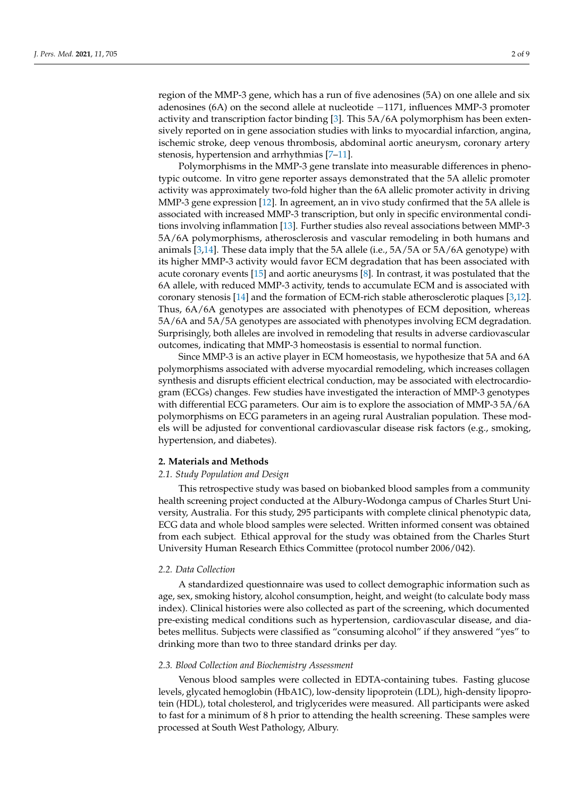region of the MMP-3 gene, which has a run of five adenosines (5A) on one allele and six adenosines (6A) on the second allele at nucleotide −1171, influences MMP-3 promoter activity and transcription factor binding [\[3\]](#page-6-2). This 5A/6A polymorphism has been extensively reported on in gene association studies with links to myocardial infarction, angina, ischemic stroke, deep venous thrombosis, abdominal aortic aneurysm, coronary artery stenosis, hypertension and arrhythmias [\[7–](#page-7-2)[11\]](#page-7-3).

Polymorphisms in the MMP-3 gene translate into measurable differences in phenotypic outcome. In vitro gene reporter assays demonstrated that the 5A allelic promoter activity was approximately two-fold higher than the 6A allelic promoter activity in driving MMP-3 gene expression [\[12\]](#page-7-4). In agreement, an in vivo study confirmed that the 5A allele is associated with increased MMP-3 transcription, but only in specific environmental conditions involving inflammation [\[13\]](#page-7-5). Further studies also reveal associations between MMP-3 5A/6A polymorphisms, atherosclerosis and vascular remodeling in both humans and animals [\[3](#page-6-2)[,14\]](#page-7-6). These data imply that the 5A allele (i.e., 5A/5A or 5A/6A genotype) with its higher MMP-3 activity would favor ECM degradation that has been associated with acute coronary events [\[15\]](#page-7-7) and aortic aneurysms [\[8\]](#page-7-8). In contrast, it was postulated that the 6A allele, with reduced MMP-3 activity, tends to accumulate ECM and is associated with coronary stenosis [\[14\]](#page-7-6) and the formation of ECM-rich stable atherosclerotic plaques [\[3](#page-6-2)[,12\]](#page-7-4). Thus, 6A/6A genotypes are associated with phenotypes of ECM deposition, whereas 5A/6A and 5A/5A genotypes are associated with phenotypes involving ECM degradation. Surprisingly, both alleles are involved in remodeling that results in adverse cardiovascular outcomes, indicating that MMP-3 homeostasis is essential to normal function.

Since MMP-3 is an active player in ECM homeostasis, we hypothesize that 5A and 6A polymorphisms associated with adverse myocardial remodeling, which increases collagen synthesis and disrupts efficient electrical conduction, may be associated with electrocardiogram (ECGs) changes. Few studies have investigated the interaction of MMP-3 genotypes with differential ECG parameters. Our aim is to explore the association of MMP-3 5A/6A polymorphisms on ECG parameters in an ageing rural Australian population. These models will be adjusted for conventional cardiovascular disease risk factors (e.g., smoking, hypertension, and diabetes).

#### **2. Materials and Methods**

## *2.1. Study Population and Design*

This retrospective study was based on biobanked blood samples from a community health screening project conducted at the Albury-Wodonga campus of Charles Sturt University, Australia. For this study, 295 participants with complete clinical phenotypic data, ECG data and whole blood samples were selected. Written informed consent was obtained from each subject. Ethical approval for the study was obtained from the Charles Sturt University Human Research Ethics Committee (protocol number 2006/042).

#### *2.2. Data Collection*

A standardized questionnaire was used to collect demographic information such as age, sex, smoking history, alcohol consumption, height, and weight (to calculate body mass index). Clinical histories were also collected as part of the screening, which documented pre-existing medical conditions such as hypertension, cardiovascular disease, and diabetes mellitus. Subjects were classified as "consuming alcohol" if they answered "yes" to drinking more than two to three standard drinks per day.

#### *2.3. Blood Collection and Biochemistry Assessment*

Venous blood samples were collected in EDTA-containing tubes. Fasting glucose levels, glycated hemoglobin (HbA1C), low-density lipoprotein (LDL), high-density lipoprotein (HDL), total cholesterol, and triglycerides were measured. All participants were asked to fast for a minimum of 8 h prior to attending the health screening. These samples were processed at South West Pathology, Albury.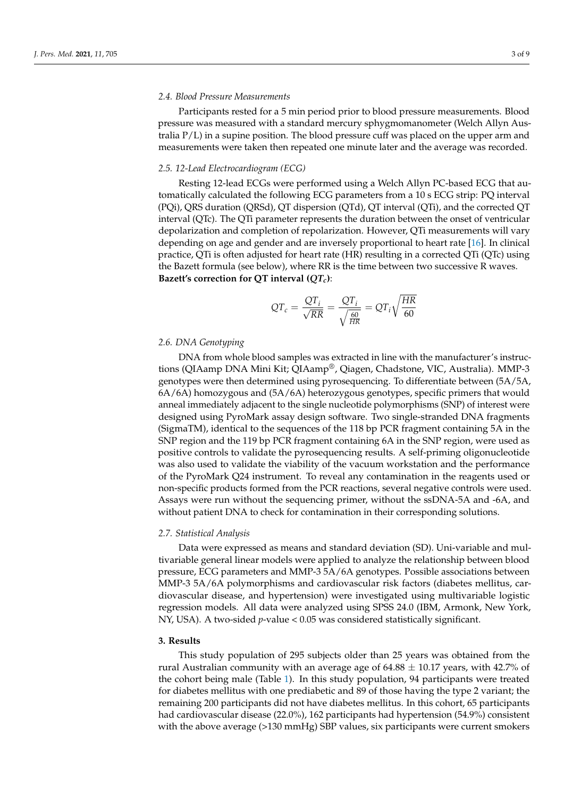# *2.4. Blood Pressure Measurements*

Participants rested for a 5 min period prior to blood pressure measurements. Blood pressure was measured with a standard mercury sphygmomanometer (Welch Allyn Australia P/L) in a supine position. The blood pressure cuff was placed on the upper arm and measurements were taken then repeated one minute later and the average was recorded.

### *2.5. 12-Lead Electrocardiogram (ECG)*

Resting 12-lead ECGs were performed using a Welch Allyn PC-based ECG that automatically calculated the following ECG parameters from a 10 s ECG strip: PQ interval (PQi), QRS duration (QRSd), QT dispersion (QTd), QT interval (QTi), and the corrected QT interval (QTc). The QTi parameter represents the duration between the onset of ventricular depolarization and completion of repolarization. However, QTi measurements will vary depending on age and gender and are inversely proportional to heart rate [\[16\]](#page-7-9). In clinical practice, QTi is often adjusted for heart rate (HR) resulting in a corrected QTi (QTc) using the Bazett formula (see below), where RR is the time between two successive R waves. **Bazett's correction for QT interval (***QTc***)**:

$$
QT_c = \frac{QT_i}{\sqrt{RR}} = \frac{QT_i}{\sqrt{\frac{60}{HR}}} = QT_i\sqrt{\frac{HR}{60}}
$$

### *2.6. DNA Genotyping*

DNA from whole blood samples was extracted in line with the manufacturer's instructions (QIAamp DNA Mini Kit; QIAamp®, Qiagen, Chadstone, VIC, Australia). MMP-3 genotypes were then determined using pyrosequencing. To differentiate between (5A/5A, 6A/6A) homozygous and (5A/6A) heterozygous genotypes, specific primers that would anneal immediately adjacent to the single nucleotide polymorphisms (SNP) of interest were designed using PyroMark assay design software. Two single-stranded DNA fragments (SigmaTM), identical to the sequences of the 118 bp PCR fragment containing 5A in the SNP region and the 119 bp PCR fragment containing 6A in the SNP region, were used as positive controls to validate the pyrosequencing results. A self-priming oligonucleotide was also used to validate the viability of the vacuum workstation and the performance of the PyroMark Q24 instrument. To reveal any contamination in the reagents used or non-specific products formed from the PCR reactions, several negative controls were used. Assays were run without the sequencing primer, without the ssDNA-5A and -6A, and without patient DNA to check for contamination in their corresponding solutions.

## *2.7. Statistical Analysis*

Data were expressed as means and standard deviation (SD). Uni-variable and multivariable general linear models were applied to analyze the relationship between blood pressure, ECG parameters and MMP-3 5A/6A genotypes. Possible associations between MMP-3 5A/6A polymorphisms and cardiovascular risk factors (diabetes mellitus, cardiovascular disease, and hypertension) were investigated using multivariable logistic regression models. All data were analyzed using SPSS 24.0 (IBM, Armonk, New York, NY, USA). A two-sided *p*-value < 0.05 was considered statistically significant.

# **3. Results**

This study population of 295 subjects older than 25 years was obtained from the rural Australian community with an average age of  $64.88 \pm 10.17$  years, with 42.7% of the cohort being male (Table [1\)](#page-3-0). In this study population, 94 participants were treated for diabetes mellitus with one prediabetic and 89 of those having the type 2 variant; the remaining 200 participants did not have diabetes mellitus. In this cohort, 65 participants had cardiovascular disease (22.0%), 162 participants had hypertension (54.9%) consistent with the above average (>130 mmHg) SBP values, six participants were current smokers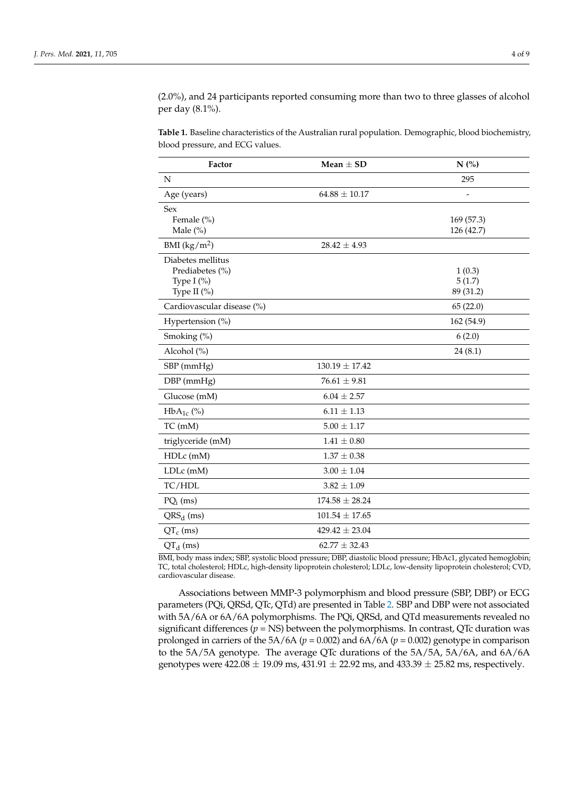(2.0%), and 24 participants reported consuming more than two to three glasses of alcohol per day (8.1%).

<span id="page-3-0"></span>**Table 1.** Baseline characteristics of the Australian rural population. Demographic, blood biochemistry, blood pressure, and ECG values.

| Factor                           | Mean $\pm$ SD      | $N$ (%)          |
|----------------------------------|--------------------|------------------|
| N                                |                    | 295              |
| Age (years)                      | $64.88 \pm 10.17$  |                  |
| <b>Sex</b>                       |                    |                  |
| Female (%)                       |                    | 169 (57.3)       |
| Male $(\%)$                      |                    | 126 (42.7)       |
| BMI $(kg/m^2)$                   | $28.42 \pm 4.93$   |                  |
| Diabetes mellitus                |                    |                  |
| Prediabetes (%)<br>Type I $(\%)$ |                    | 1(0.3)<br>5(1.7) |
| Type II $(\%)$                   |                    | 89 (31.2)        |
| Cardiovascular disease (%)       |                    | 65(22.0)         |
| Hypertension (%)                 |                    | 162 (54.9)       |
| Smoking (%)                      |                    | 6(2.0)           |
| Alcohol (%)                      |                    | 24(8.1)          |
| SBP (mmHg)                       | $130.19 \pm 17.42$ |                  |
| DBP (mmHg)                       | $76.61 \pm 9.81$   |                  |
| Glucose (mM)                     | $6.04 \pm 2.57$    |                  |
| $HbA_{1c}$ (%)                   | $6.11 \pm 1.13$    |                  |
| TC (mM)                          | $5.00 \pm 1.17$    |                  |
| triglyceride (mM)                | $1.41 \pm 0.80$    |                  |
| HDLc(mM)                         | $1.37 \pm 0.38$    |                  |
| LDLc (mM)                        | $3.00 \pm 1.04$    |                  |
| TC/HDL                           | $3.82 \pm 1.09$    |                  |
| $PQ_i$ (ms)                      | $174.58 \pm 28.24$ |                  |
| $QRS_d$ (ms)                     | $101.54 \pm 17.65$ |                  |
| $QTc$ (ms)                       | $429.42 \pm 23.04$ |                  |
| $QTd$ (ms)                       | $62.77 \pm 32.43$  |                  |

BMI, body mass index; SBP, systolic blood pressure; DBP, diastolic blood pressure; HbAc1, glycated hemoglobin; TC, total cholesterol; HDLc, high-density lipoprotein cholesterol; LDLc, low-density lipoprotein cholesterol; CVD, cardiovascular disease.

Associations between MMP-3 polymorphism and blood pressure (SBP, DBP) or ECG parameters (PQi, QRSd, QTc, QTd) are presented in Table [2.](#page-4-0) SBP and DBP were not associated with 5A/6A or 6A/6A polymorphisms. The PQi, QRSd, and QTd measurements revealed no significant differences  $(p = NS)$  between the polymorphisms. In contrast, QTc duration was prolonged in carriers of the  $5A/6A$  ( $p = 0.002$ ) and  $6A/6A$  ( $p = 0.002$ ) genotype in comparison to the 5A/5A genotype. The average QTc durations of the 5A/5A, 5A/6A, and 6A/6A genotypes were  $422.08 \pm 19.09$  ms,  $431.91 \pm 22.92$  ms, and  $433.39 \pm 25.82$  ms, respectively.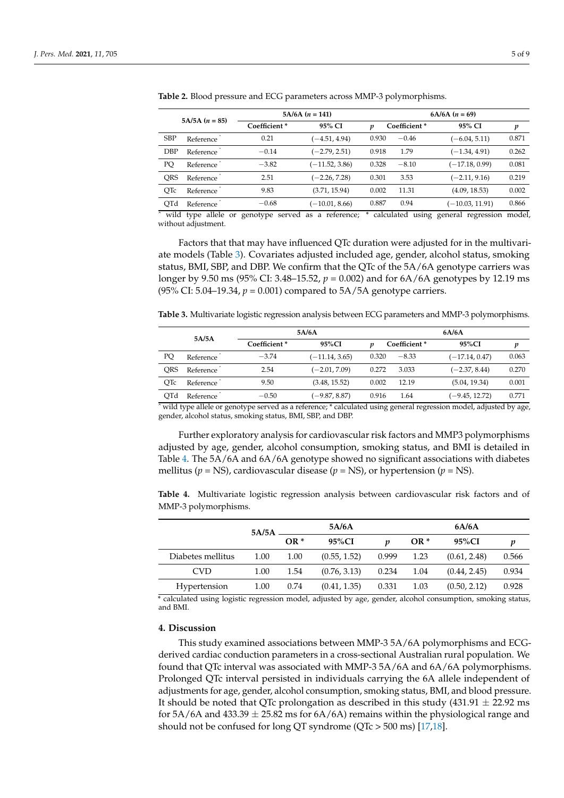| $5A/5A (n = 85)$            |           | $5A/6A (n = 141)$ | $6A/6A (n = 69)$ |       |              |                  |       |
|-----------------------------|-----------|-------------------|------------------|-------|--------------|------------------|-------|
|                             |           | Coefficient*      | 95% CI           | v     | Coefficient* | 95% CI           | p     |
| <b>SBP</b>                  | Reference | 0.21              | $(-4.51, 4.94)$  | 0.930 | $-0.46$      | $(-6.04, 5.11)$  | 0.871 |
| <b>DBP</b>                  | Reference | $-0.14$           | $(-2.79, 2.51)$  | 0.918 | 1.79         | $(-1.34, 4.91)$  | 0.262 |
| PQ                          | Reference | $-3.82$           | $(-11.52, 3.86)$ | 0.328 | $-8.10$      | $(-17.18, 0.99)$ | 0.081 |
| <b>ORS</b>                  | Reference | 2.51              | $(-2.26, 7.28)$  | 0.301 | 3.53         | $(-2.11, 9.16)$  | 0.219 |
| <b>OTc</b>                  | Reference | 9.83              | (3.71, 15.94)    | 0.002 | 11.31        | (4.09, 18.53)    | 0.002 |
| OTd                         | Reference | $-0.68$           | $(-10.01, 8.66)$ | 0.887 | 0.94         | (-10.03, 11.91)  | 0.866 |
| $\sim$ $\sim$ $\sim$ $\sim$ | . .       |                   |                  |       | .            |                  |       |

<span id="page-4-0"></span>**Table 2.** Blood pressure and ECG parameters across MMP-3 polymorphisms.

wild type allele or genotype served as a reference; \* calculated using general regression model, without adjustment.

Factors that that may have influenced QTc duration were adjusted for in the multivariate models (Table [3\)](#page-4-1). Covariates adjusted included age, gender, alcohol status, smoking status, BMI, SBP, and DBP. We confirm that the QTc of the 5A/6A genotype carriers was longer by 9.50 ms (95% CI: 3.48–15.52, *p* = 0.002) and for 6A/6A genotypes by 12.19 ms (95% CI: 5.04–19.34,  $p = 0.001$ ) compared to 5A/5A genotype carriers.

<span id="page-4-1"></span>**Table 3.** Multivariate logistic regression analysis between ECG parameters and MMP-3 polymorphisms.

|     | 5A/6A     |                          |                  | 6A/6A |              |                  |       |
|-----|-----------|--------------------------|------------------|-------|--------------|------------------|-------|
|     | 5A/5A     | Coefficient <sup>*</sup> | 95%CI            |       | Coefficient* | 95%CI            | v     |
| PQ  | Reference | $-3.74$                  | $(-11.14, 3.65)$ | 0.320 | $-8.33$      | $(-17.14, 0.47)$ | 0.063 |
| ORS | Reference | 2.54                     | $(-2.01, 7.09)$  | 0.272 | 3.033        | $(-2.37, 8.44)$  | 0.270 |
| OTc | Reference | 9.50                     | (3.48, 15.52)    | 0.002 | 12.19        | (5.04, 19.34)    | 0.001 |
| OTd | Reference | $-0.50$                  | $(-9.87, 8.87)$  | 0.916 | 1.64         | (–9.45, 12.72)   | 0.771 |

 $\bar{\gamma}$  wild type allele or genotype served as a reference; \* calculated using general regression model, adjusted by age, gender, alcohol status, smoking status, BMI, SBP, and DBP.

Further exploratory analysis for cardiovascular risk factors and MMP3 polymorphisms adjusted by age, gender, alcohol consumption, smoking status, and BMI is detailed in Table [4.](#page-4-2) The 5A/6A and 6A/6A genotype showed no significant associations with diabetes mellitus ( $p = NS$ ), cardiovascular disease ( $p = NS$ ), or hypertension ( $p = NS$ ).

<span id="page-4-2"></span>**Table 4.** Multivariate logistic regression analysis between cardiovascular risk factors and of MMP-3 polymorphisms.

|                   | 5A/5A |       | 5A/6A        |       |                 | 6A/6A        |       |
|-------------------|-------|-------|--------------|-------|-----------------|--------------|-------|
|                   |       | $OR*$ | 95%CI        | v     | OR <sup>*</sup> | 95%CI        | p     |
| Diabetes mellitus | 1.00  | 1.00  | (0.55, 1.52) | 0.999 | 1.23            | (0.61, 2.48) | 0.566 |
| <b>CVD</b>        | 1.00  | 1.54  | (0.76, 3.13) | 0.234 | 1.04            | (0.44, 2.45) | 0.934 |
| Hypertension      | 1.00  | 0.74  | (0.41, 1.35) | 0.331 | 1.03            | (0.50, 2.12) | 0.928 |

\* calculated using logistic regression model, adjusted by age, gender, alcohol consumption, smoking status, and BMI.

# **4. Discussion**

This study examined associations between MMP-3 5A/6A polymorphisms and ECGderived cardiac conduction parameters in a cross-sectional Australian rural population. We found that QTc interval was associated with MMP-3 5A/6A and 6A/6A polymorphisms. Prolonged QTc interval persisted in individuals carrying the 6A allele independent of adjustments for age, gender, alcohol consumption, smoking status, BMI, and blood pressure. It should be noted that QTc prolongation as described in this study  $(431.91 \pm 22.92 \text{ ms})$ for 5A/6A and  $433.39 \pm 25.82$  ms for  $6A/6A$ ) remains within the physiological range and should not be confused for long QT syndrome (QTc > 500 ms) [\[17](#page-7-10)[,18\]](#page-7-11).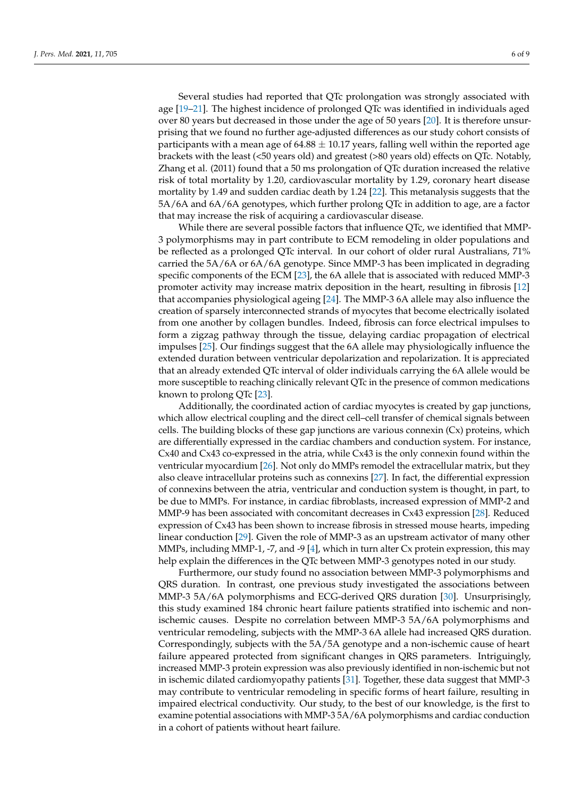Several studies had reported that QTc prolongation was strongly associated with age [\[19–](#page-7-12)[21\]](#page-7-13). The highest incidence of prolonged QTc was identified in individuals aged over 80 years but decreased in those under the age of 50 years [\[20\]](#page-7-14). It is therefore unsurprising that we found no further age-adjusted differences as our study cohort consists of participants with a mean age of  $64.88 \pm 10.17$  years, falling well within the reported age brackets with the least (<50 years old) and greatest (>80 years old) effects on QTc. Notably, Zhang et al. (2011) found that a 50 ms prolongation of QTc duration increased the relative risk of total mortality by 1.20, cardiovascular mortality by 1.29, coronary heart disease mortality by 1.49 and sudden cardiac death by 1.24 [\[22\]](#page-7-15). This metanalysis suggests that the 5A/6A and 6A/6A genotypes, which further prolong QTc in addition to age, are a factor that may increase the risk of acquiring a cardiovascular disease.

While there are several possible factors that influence QTc, we identified that MMP-3 polymorphisms may in part contribute to ECM remodeling in older populations and be reflected as a prolonged QTc interval. In our cohort of older rural Australians, 71% carried the 5A/6A or 6A/6A genotype. Since MMP-3 has been implicated in degrading specific components of the ECM [\[23\]](#page-7-16), the 6A allele that is associated with reduced MMP-3 promoter activity may increase matrix deposition in the heart, resulting in fibrosis [\[12\]](#page-7-4) that accompanies physiological ageing [\[24\]](#page-7-17). The MMP-3 6A allele may also influence the creation of sparsely interconnected strands of myocytes that become electrically isolated from one another by collagen bundles. Indeed, fibrosis can force electrical impulses to form a zigzag pathway through the tissue, delaying cardiac propagation of electrical impulses [\[25\]](#page-7-18). Our findings suggest that the 6A allele may physiologically influence the extended duration between ventricular depolarization and repolarization. It is appreciated that an already extended QTc interval of older individuals carrying the 6A allele would be more susceptible to reaching clinically relevant QTc in the presence of common medications known to prolong QTc [\[23\]](#page-7-16).

Additionally, the coordinated action of cardiac myocytes is created by gap junctions, which allow electrical coupling and the direct cell–cell transfer of chemical signals between cells. The building blocks of these gap junctions are various connexin  $(Cx)$  proteins, which are differentially expressed in the cardiac chambers and conduction system. For instance, Cx40 and Cx43 co-expressed in the atria, while Cx43 is the only connexin found within the ventricular myocardium [\[26\]](#page-7-19). Not only do MMPs remodel the extracellular matrix, but they also cleave intracellular proteins such as connexins [\[27\]](#page-7-20). In fact, the differential expression of connexins between the atria, ventricular and conduction system is thought, in part, to be due to MMPs. For instance, in cardiac fibroblasts, increased expression of MMP-2 and MMP-9 has been associated with concomitant decreases in Cx43 expression [\[28\]](#page-7-21). Reduced expression of Cx43 has been shown to increase fibrosis in stressed mouse hearts, impeding linear conduction [\[29\]](#page-7-22). Given the role of MMP-3 as an upstream activator of many other MMPs, including MMP-1, -7, and -9 [\[4\]](#page-6-3), which in turn alter Cx protein expression, this may help explain the differences in the QTc between MMP-3 genotypes noted in our study.

Furthermore, our study found no association between MMP-3 polymorphisms and QRS duration. In contrast, one previous study investigated the associations between MMP-3 5A/6A polymorphisms and ECG-derived QRS duration [\[30\]](#page-8-0). Unsurprisingly, this study examined 184 chronic heart failure patients stratified into ischemic and nonischemic causes. Despite no correlation between MMP-3 5A/6A polymorphisms and ventricular remodeling, subjects with the MMP-3 6A allele had increased QRS duration. Correspondingly, subjects with the 5A/5A genotype and a non-ischemic cause of heart failure appeared protected from significant changes in QRS parameters. Intriguingly, increased MMP-3 protein expression was also previously identified in non-ischemic but not in ischemic dilated cardiomyopathy patients [\[31\]](#page-8-1). Together, these data suggest that MMP-3 may contribute to ventricular remodeling in specific forms of heart failure, resulting in impaired electrical conductivity. Our study, to the best of our knowledge, is the first to examine potential associations with MMP-3 5A/6A polymorphisms and cardiac conduction in a cohort of patients without heart failure.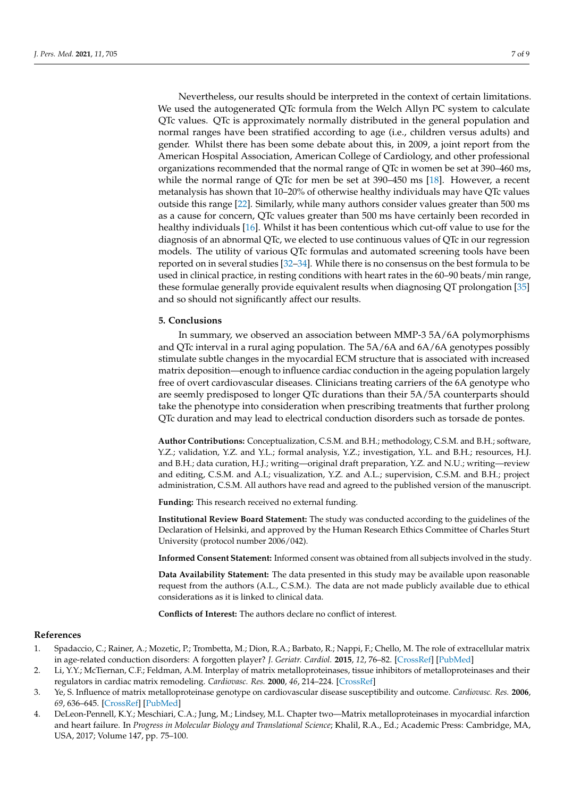Nevertheless, our results should be interpreted in the context of certain limitations. We used the autogenerated QTc formula from the Welch Allyn PC system to calculate QTc values. QTc is approximately normally distributed in the general population and normal ranges have been stratified according to age (i.e., children versus adults) and gender. Whilst there has been some debate about this, in 2009, a joint report from the American Hospital Association, American College of Cardiology, and other professional organizations recommended that the normal range of QTc in women be set at 390–460 ms, while the normal range of QTc for men be set at 390–450 ms [\[18\]](#page-7-11). However, a recent metanalysis has shown that 10–20% of otherwise healthy individuals may have QTc values outside this range [\[22\]](#page-7-15). Similarly, while many authors consider values greater than 500 ms as a cause for concern, QTc values greater than 500 ms have certainly been recorded in healthy individuals [\[16\]](#page-7-9). Whilst it has been contentious which cut-off value to use for the diagnosis of an abnormal QTc, we elected to use continuous values of QTc in our regression models. The utility of various QTc formulas and automated screening tools have been reported on in several studies [\[32](#page-8-2)[–34\]](#page-8-3). While there is no consensus on the best formula to be used in clinical practice, in resting conditions with heart rates in the 60–90 beats/min range, these formulae generally provide equivalent results when diagnosing QT prolongation [\[35\]](#page-8-4) and so should not significantly affect our results.

#### **5. Conclusions**

In summary, we observed an association between MMP-3 5A/6A polymorphisms and QTc interval in a rural aging population. The 5A/6A and 6A/6A genotypes possibly stimulate subtle changes in the myocardial ECM structure that is associated with increased matrix deposition—enough to influence cardiac conduction in the ageing population largely free of overt cardiovascular diseases. Clinicians treating carriers of the 6A genotype who are seemly predisposed to longer QTc durations than their 5A/5A counterparts should take the phenotype into consideration when prescribing treatments that further prolong QTc duration and may lead to electrical conduction disorders such as torsade de pontes.

**Author Contributions:** Conceptualization, C.S.M. and B.H.; methodology, C.S.M. and B.H.; software, Y.Z.; validation, Y.Z. and Y.L.; formal analysis, Y.Z.; investigation, Y.L. and B.H.; resources, H.J. and B.H.; data curation, H.J.; writing—original draft preparation, Y.Z. and N.U.; writing—review and editing, C.S.M. and A.L; visualization, Y.Z. and A.L.; supervision, C.S.M. and B.H.; project administration, C.S.M. All authors have read and agreed to the published version of the manuscript.

**Funding:** This research received no external funding.

**Institutional Review Board Statement:** The study was conducted according to the guidelines of the Declaration of Helsinki, and approved by the Human Research Ethics Committee of Charles Sturt University (protocol number 2006/042).

**Informed Consent Statement:** Informed consent was obtained from all subjects involved in the study.

**Data Availability Statement:** The data presented in this study may be available upon reasonable request from the authors (A.L., C.S.M.). The data are not made publicly available due to ethical considerations as it is linked to clinical data.

**Conflicts of Interest:** The authors declare no conflict of interest.

#### **References**

- <span id="page-6-0"></span>1. Spadaccio, C.; Rainer, A.; Mozetic, P.; Trombetta, M.; Dion, R.A.; Barbato, R.; Nappi, F.; Chello, M. The role of extracellular matrix in age-related conduction disorders: A forgotten player? *J. Geriatr. Cardiol.* **2015**, *12*, 76–82. [\[CrossRef\]](http://doi.org/10.11909/j.issn.1671-5411.2015.01.009) [\[PubMed\]](http://www.ncbi.nlm.nih.gov/pubmed/25678907)
- <span id="page-6-1"></span>2. Li, Y.Y.; McTiernan, C.F.; Feldman, A.M. Interplay of matrix metalloproteinases, tissue inhibitors of metalloproteinases and their regulators in cardiac matrix remodeling. *Cardiovasc. Res.* **2000**, *46*, 214–224. [\[CrossRef\]](http://doi.org/10.1016/S0008-6363(00)00003-1)
- <span id="page-6-2"></span>3. Ye, S. Influence of matrix metalloproteinase genotype on cardiovascular disease susceptibility and outcome. *Cardiovasc. Res.* **2006**, *69*, 636–645. [\[CrossRef\]](http://doi.org/10.1016/j.cardiores.2005.07.015) [\[PubMed\]](http://www.ncbi.nlm.nih.gov/pubmed/16122719)
- <span id="page-6-3"></span>4. DeLeon-Pennell, K.Y.; Meschiari, C.A.; Jung, M.; Lindsey, M.L. Chapter two—Matrix metalloproteinases in myocardial infarction and heart failure. In *Progress in Molecular Biology and Translational Science*; Khalil, R.A., Ed.; Academic Press: Cambridge, MA, USA, 2017; Volume 147, pp. 75–100.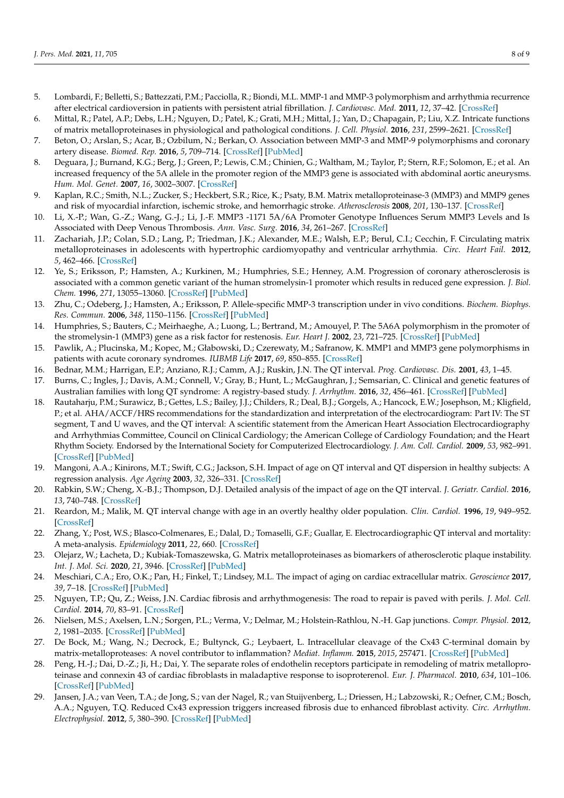- <span id="page-7-0"></span>5. Lombardi, F.; Belletti, S.; Battezzati, P.M.; Pacciolla, R.; Biondi, M.L. MMP-1 and MMP-3 polymorphism and arrhythmia recurrence after electrical cardioversion in patients with persistent atrial fibrillation. *J. Cardiovasc. Med.* **2011**, *12*, 37–42. [\[CrossRef\]](http://doi.org/10.2459/JCM.0b013e3283403366)
- <span id="page-7-1"></span>6. Mittal, R.; Patel, A.P.; Debs, L.H.; Nguyen, D.; Patel, K.; Grati, M.H.; Mittal, J.; Yan, D.; Chapagain, P.; Liu, X.Z. Intricate functions of matrix metalloproteinases in physiological and pathological conditions. *J. Cell. Physiol.* **2016**, *231*, 2599–2621. [\[CrossRef\]](http://doi.org/10.1002/jcp.25430)
- <span id="page-7-2"></span>7. Beton, O.; Arslan, S.; Acar, B.; Ozbilum, N.; Berkan, O. Association between MMP-3 and MMP-9 polymorphisms and coronary artery disease. *Biomed. Rep.* **2016**, *5*, 709–714. [\[CrossRef\]](http://doi.org/10.3892/br.2016.782) [\[PubMed\]](http://www.ncbi.nlm.nih.gov/pubmed/28105338)
- <span id="page-7-8"></span>8. Deguara, J.; Burnand, K.G.; Berg, J.; Green, P.; Lewis, C.M.; Chinien, G.; Waltham, M.; Taylor, P.; Stern, R.F.; Solomon, E.; et al. An increased frequency of the 5A allele in the promoter region of the MMP3 gene is associated with abdominal aortic aneurysms. *Hum. Mol. Genet.* **2007**, *16*, 3002–3007. [\[CrossRef\]](http://doi.org/10.1093/hmg/ddm258)
- 9. Kaplan, R.C.; Smith, N.L.; Zucker, S.; Heckbert, S.R.; Rice, K.; Psaty, B.M. Matrix metalloproteinase-3 (MMP3) and MMP9 genes and risk of myocardial infarction, ischemic stroke, and hemorrhagic stroke. *Atherosclerosis* **2008**, *201*, 130–137. [\[CrossRef\]](http://doi.org/10.1016/j.atherosclerosis.2008.01.003)
- 10. Li, X.-P.; Wan, G.-Z.; Wang, G.-J.; Li, J.-F. MMP3 -1171 5A/6A Promoter Genotype Influences Serum MMP3 Levels and Is Associated with Deep Venous Thrombosis. *Ann. Vasc. Surg.* **2016**, *34*, 261–267. [\[CrossRef\]](http://doi.org/10.1016/j.avsg.2015.11.039)
- <span id="page-7-3"></span>11. Zachariah, J.P.; Colan, S.D.; Lang, P.; Triedman, J.K.; Alexander, M.E.; Walsh, E.P.; Berul, C.I.; Cecchin, F. Circulating matrix metalloproteinases in adolescents with hypertrophic cardiomyopathy and ventricular arrhythmia. *Circ. Heart Fail.* **2012**, *5*, 462–466. [\[CrossRef\]](http://doi.org/10.1161/CIRCHEARTFAILURE.111.966200)
- <span id="page-7-4"></span>12. Ye, S.; Eriksson, P.; Hamsten, A.; Kurkinen, M.; Humphries, S.E.; Henney, A.M. Progression of coronary atherosclerosis is associated with a common genetic variant of the human stromelysin-1 promoter which results in reduced gene expression. *J. Biol. Chem.* **1996**, *271*, 13055–13060. [\[CrossRef\]](http://doi.org/10.1074/jbc.271.22.13055) [\[PubMed\]](http://www.ncbi.nlm.nih.gov/pubmed/8662692)
- <span id="page-7-5"></span>13. Zhu, C.; Odeberg, J.; Hamsten, A.; Eriksson, P. Allele-specific MMP-3 transcription under in vivo conditions. *Biochem. Biophys. Res. Commun.* **2006**, *348*, 1150–1156. [\[CrossRef\]](http://doi.org/10.1016/j.bbrc.2006.07.174) [\[PubMed\]](http://www.ncbi.nlm.nih.gov/pubmed/16904077)
- <span id="page-7-6"></span>14. Humphries, S.; Bauters, C.; Meirhaeghe, A.; Luong, L.; Bertrand, M.; Amouyel, P. The 5A6A polymorphism in the promoter of the stromelysin-1 (MMP3) gene as a risk factor for restenosis. *Eur. Heart J.* **2002**, *23*, 721–725. [\[CrossRef\]](http://doi.org/10.1053/euhj.2001.2895) [\[PubMed\]](http://www.ncbi.nlm.nih.gov/pubmed/11977998)
- <span id="page-7-7"></span>15. Pawlik, A.; Plucinska, M.; Kopec, M.; Głabowski, D.; Czerewaty, M.; Safranow, K. MMP1 and MMP3 gene polymorphisms in patients with acute coronary syndromes. *IUBMB Life* **2017**, *69*, 850–855. [\[CrossRef\]](http://doi.org/10.1002/iub.1684)
- <span id="page-7-9"></span>16. Bednar, M.M.; Harrigan, E.P.; Anziano, R.J.; Camm, A.J.; Ruskin, J.N. The QT interval. *Prog. Cardiovasc. Dis.* **2001**, *43*, 1–45.
- <span id="page-7-10"></span>17. Burns, C.; Ingles, J.; Davis, A.M.; Connell, V.; Gray, B.; Hunt, L.; McGaughran, J.; Semsarian, C. Clinical and genetic features of Australian families with long QT syndrome: A registry-based study. *J. Arrhythm.* **2016**, *32*, 456–461. [\[CrossRef\]](http://doi.org/10.1016/j.joa.2016.02.001) [\[PubMed\]](http://www.ncbi.nlm.nih.gov/pubmed/27920829)
- <span id="page-7-11"></span>18. Rautaharju, P.M.; Surawicz, B.; Gettes, L.S.; Bailey, J.J.; Childers, R.; Deal, B.J.; Gorgels, A.; Hancock, E.W.; Josephson, M.; Kligfield, P.; et al. AHA/ACCF/HRS recommendations for the standardization and interpretation of the electrocardiogram: Part IV: The ST segment, T and U waves, and the QT interval: A scientific statement from the American Heart Association Electrocardiography and Arrhythmias Committee, Council on Clinical Cardiology; the American College of Cardiology Foundation; and the Heart Rhythm Society. Endorsed by the International Society for Computerized Electrocardiology. *J. Am. Coll. Cardiol.* **2009**, *53*, 982–991. [\[CrossRef\]](http://doi.org/10.1016/j.jacc.2008.12.014) [\[PubMed\]](http://www.ncbi.nlm.nih.gov/pubmed/19281931)
- <span id="page-7-12"></span>19. Mangoni, A.A.; Kinirons, M.T.; Swift, C.G.; Jackson, S.H. Impact of age on QT interval and QT dispersion in healthy subjects: A regression analysis. *Age Ageing* **2003**, *32*, 326–331. [\[CrossRef\]](http://doi.org/10.1093/ageing/32.3.326)
- <span id="page-7-14"></span>20. Rabkin, S.W.; Cheng, X.-B.J.; Thompson, D.J. Detailed analysis of the impact of age on the QT interval. *J. Geriatr. Cardiol.* **2016**, *13*, 740–748. [\[CrossRef\]](http://doi.org/10.11909/j.issn.1671-5411.2016.09.013)
- <span id="page-7-13"></span>21. Reardon, M.; Malik, M. QT interval change with age in an overtly healthy older population. *Clin. Cardiol.* **1996**, *19*, 949–952. [\[CrossRef\]](http://doi.org/10.1002/clc.4960191209)
- <span id="page-7-15"></span>22. Zhang, Y.; Post, W.S.; Blasco-Colmenares, E.; Dalal, D.; Tomaselli, G.F.; Guallar, E. Electrocardiographic QT interval and mortality: A meta-analysis. *Epidemiology* **2011**, *22*, 660. [\[CrossRef\]](http://doi.org/10.1097/EDE.0b013e318225768b)
- <span id="page-7-16"></span>23. Olejarz, W.; Łacheta, D.; Kubiak-Tomaszewska, G. Matrix metalloproteinases as biomarkers of atherosclerotic plaque instability. *Int. J. Mol. Sci.* **2020**, *21*, 3946. [\[CrossRef\]](http://doi.org/10.3390/ijms21113946) [\[PubMed\]](http://www.ncbi.nlm.nih.gov/pubmed/32486345)
- <span id="page-7-17"></span>24. Meschiari, C.A.; Ero, O.K.; Pan, H.; Finkel, T.; Lindsey, M.L. The impact of aging on cardiac extracellular matrix. *Geroscience* **2017**, *39*, 7–18. [\[CrossRef\]](http://doi.org/10.1007/s11357-017-9959-9) [\[PubMed\]](http://www.ncbi.nlm.nih.gov/pubmed/28299638)
- <span id="page-7-18"></span>25. Nguyen, T.P.; Qu, Z.; Weiss, J.N. Cardiac fibrosis and arrhythmogenesis: The road to repair is paved with perils. *J. Mol. Cell. Cardiol.* **2014**, *70*, 83–91. [\[CrossRef\]](http://doi.org/10.1016/j.yjmcc.2013.10.018)
- <span id="page-7-19"></span>26. Nielsen, M.S.; Axelsen, L.N.; Sorgen, P.L.; Verma, V.; Delmar, M.; Holstein-Rathlou, N.-H. Gap junctions. *Compr. Physiol.* **2012**, *2*, 1981–2035. [\[CrossRef\]](http://doi.org/10.1002/cphy.c110051) [\[PubMed\]](http://www.ncbi.nlm.nih.gov/pubmed/23723031)
- <span id="page-7-20"></span>27. De Bock, M.; Wang, N.; Decrock, E.; Bultynck, G.; Leybaert, L. Intracellular cleavage of the Cx43 C-terminal domain by matrix-metalloproteases: A novel contributor to inflammation? *Mediat. Inflamm.* **2015**, *2015*, 257471. [\[CrossRef\]](http://doi.org/10.1155/2015/257471) [\[PubMed\]](http://www.ncbi.nlm.nih.gov/pubmed/26424967)
- <span id="page-7-21"></span>28. Peng, H.-J.; Dai, D.-Z.; Ji, H.; Dai, Y. The separate roles of endothelin receptors participate in remodeling of matrix metalloproteinase and connexin 43 of cardiac fibroblasts in maladaptive response to isoproterenol. *Eur. J. Pharmacol.* **2010**, *634*, 101–106. [\[CrossRef\]](http://doi.org/10.1016/j.ejphar.2010.02.001) [\[PubMed\]](http://www.ncbi.nlm.nih.gov/pubmed/20167215)
- <span id="page-7-22"></span>29. Jansen, J.A.; van Veen, T.A.; de Jong, S.; van der Nagel, R.; van Stuijvenberg, L.; Driessen, H.; Labzowski, R.; Oefner, C.M.; Bosch, A.A.; Nguyen, T.Q. Reduced Cx43 expression triggers increased fibrosis due to enhanced fibroblast activity. *Circ. Arrhythm. Electrophysiol.* **2012**, *5*, 380–390. [\[CrossRef\]](http://doi.org/10.1161/CIRCEP.111.966580) [\[PubMed\]](http://www.ncbi.nlm.nih.gov/pubmed/22368123)